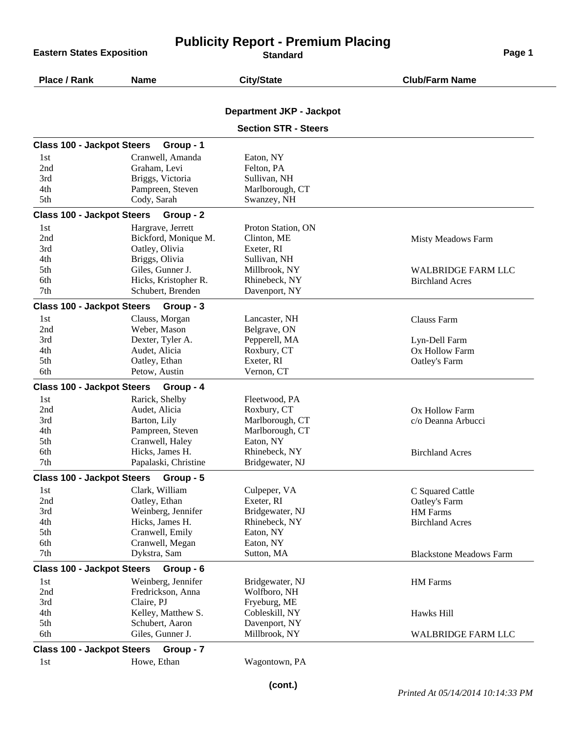**Eastern States Exposition** 

## **Publicity Report - Premium Placing**

| Place / Rank                      | <b>Name</b>          | <b>City/State</b>               | <b>Club/Farm Name</b>          |
|-----------------------------------|----------------------|---------------------------------|--------------------------------|
|                                   |                      | <b>Department JKP - Jackpot</b> |                                |
|                                   |                      | <b>Section STR - Steers</b>     |                                |
| <b>Class 100 - Jackpot Steers</b> | Group - 1            |                                 |                                |
| 1st                               | Cranwell, Amanda     | Eaton, NY                       |                                |
| 2nd                               | Graham, Levi         | Felton, PA                      |                                |
| 3rd                               | Briggs, Victoria     | Sullivan, NH                    |                                |
| 4th                               | Pampreen, Steven     | Marlborough, CT                 |                                |
| 5th                               | Cody, Sarah          | Swanzey, NH                     |                                |
| <b>Class 100 - Jackpot Steers</b> | Group - 2            |                                 |                                |
| 1st                               | Hargrave, Jerrett    | Proton Station, ON              |                                |
| 2nd                               | Bickford, Monique M. | Clinton, ME                     | Misty Meadows Farm             |
| 3rd                               | Oatley, Olivia       | Exeter, RI                      |                                |
| 4th                               | Briggs, Olivia       | Sullivan, NH                    |                                |
| 5th                               | Giles, Gunner J.     | Millbrook, NY                   | <b>WALBRIDGE FARM LLC</b>      |
| 6th                               | Hicks, Kristopher R. | Rhinebeck, NY                   | <b>Birchland Acres</b>         |
| 7 <sub>th</sub>                   | Schubert, Brenden    | Davenport, NY                   |                                |
| <b>Class 100 - Jackpot Steers</b> | Group - 3            |                                 |                                |
| 1st                               | Clauss, Morgan       | Lancaster, NH                   | <b>Clauss Farm</b>             |
| 2nd                               | Weber, Mason         | Belgrave, ON                    |                                |
| 3rd                               | Dexter, Tyler A.     | Pepperell, MA                   | Lyn-Dell Farm                  |
| 4th                               | Audet, Alicia        | Roxbury, CT                     | Ox Hollow Farm                 |
| 5th                               | Oatley, Ethan        | Exeter, RI                      | Oatley's Farm                  |
| 6th                               | Petow, Austin        | Vernon, CT                      |                                |
| <b>Class 100 - Jackpot Steers</b> | Group - 4            |                                 |                                |
| 1st                               | Rarick, Shelby       | Fleetwood, PA                   |                                |
| 2nd                               | Audet, Alicia        | Roxbury, CT                     | Ox Hollow Farm                 |
| 3rd                               | Barton, Lily         | Marlborough, CT                 | c/o Deanna Arbucci             |
| 4th                               | Pampreen, Steven     | Marlborough, CT                 |                                |
| 5th                               | Cranwell, Haley      | Eaton, NY                       |                                |
| 6th                               | Hicks, James H.      | Rhinebeck, NY                   | <b>Birchland Acres</b>         |
| 7 <sub>th</sub>                   | Papalaski, Christine | Bridgewater, NJ                 |                                |
| <b>Class 100 - Jackpot Steers</b> | Group - 5            |                                 |                                |
| 1st                               | Clark, William       | Culpeper, VA                    | C Squared Cattle               |
| 2nd                               | Oatley, Ethan        | Exeter, RI                      | Oatley's Farm                  |
| 3rd                               | Weinberg, Jennifer   | Bridgewater, NJ                 | <b>HM</b> Farms                |
| 4th                               | Hicks, James H.      | Rhinebeck, NY                   | <b>Birchland Acres</b>         |
| 5th                               | Cranwell, Emily      | Eaton, NY                       |                                |
| 6th                               | Cranwell, Megan      | Eaton, NY                       |                                |
| 7th                               | Dykstra, Sam         | Sutton, MA                      | <b>Blackstone Meadows Farm</b> |
| <b>Class 100 - Jackpot Steers</b> | Group - 6            |                                 |                                |
| 1st                               | Weinberg, Jennifer   | Bridgewater, NJ                 | HM Farms                       |
| 2nd                               | Fredrickson, Anna    | Wolfboro, NH                    |                                |
| 3rd                               | Claire, PJ           | Fryeburg, ME                    |                                |
| 4th                               | Kelley, Matthew S.   | Cobleskill, NY                  | Hawks Hill                     |
| 5th                               | Schubert, Aaron      | Davenport, NY                   |                                |
| 6th                               | Giles, Gunner J.     | Millbrook, NY                   | <b>WALBRIDGE FARM LLC</b>      |
| <b>Class 100 - Jackpot Steers</b> | Group - 7            |                                 |                                |
| 1st                               | Howe, Ethan          | Wagontown, PA                   |                                |
|                                   |                      |                                 |                                |